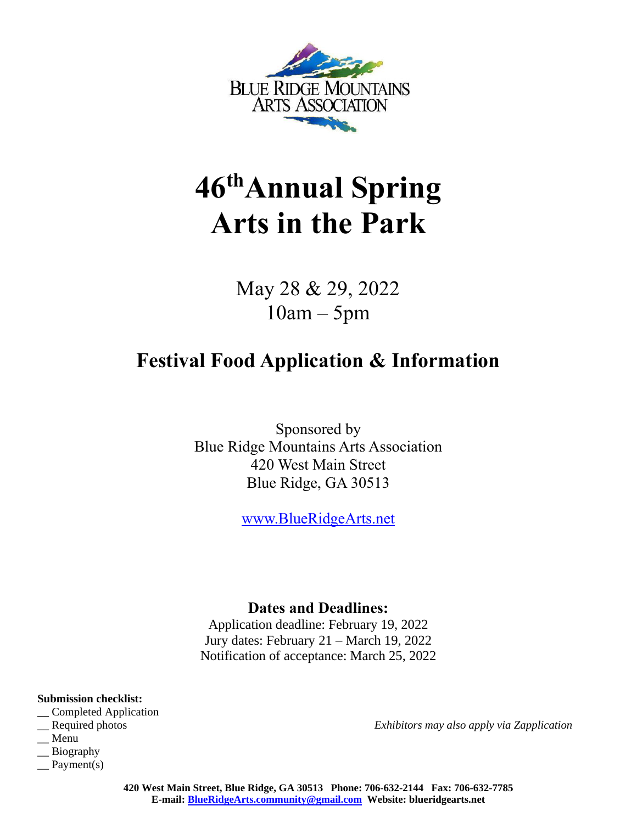

# **46 thAnnual Spring Arts in the Park**

May 28 & 29, 2022 10am – 5pm

## **Festival Food Application & Information**

Sponsored by Blue Ridge Mountains Arts Association 420 West Main Street Blue Ridge, GA 30513

[www.BlueRidgeArts.net](http://www.blueridgearts.net/)

### **Dates and Deadlines:**

Application deadline: February 19, 2022 Jury dates: February 21 – March 19, 2022 Notification of acceptance: March 25, 2022

**Submission checklist:**

- **\_\_** Completed Application
- 
- \_\_ Menu
- \_\_ Biography
- \_\_ Payment(s)

\_\_ Required photos *Exhibitors may also apply via Zapplication*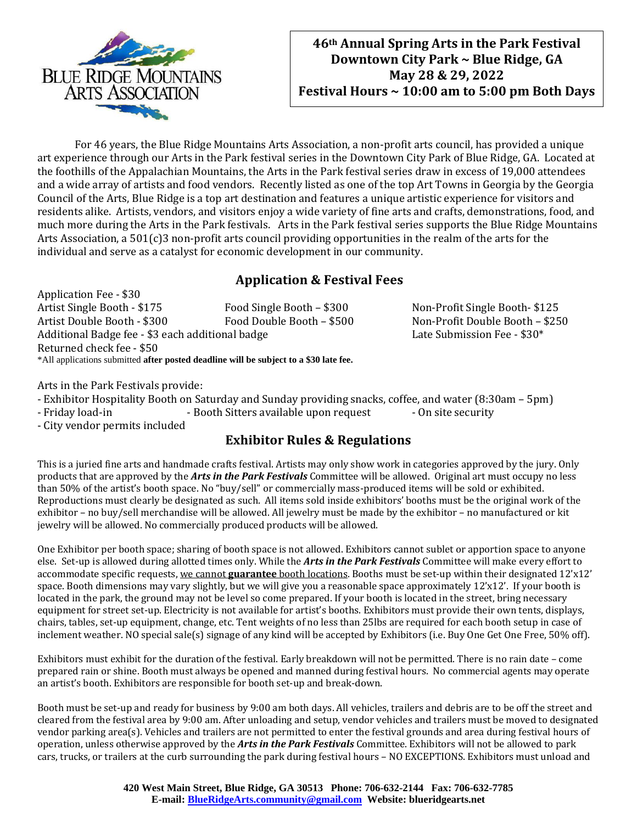

For 46 years, the Blue Ridge Mountains Arts Association, a non-profit arts council, has provided a unique art experience through our Arts in the Park festival series in the Downtown City Park of Blue Ridge, GA. Located at the foothills of the Appalachian Mountains, the Arts in the Park festival series draw in excess of 19,000 attendees and a wide array of artists and food vendors. Recently listed as one of the top Art Towns in Georgia by the Georgia Council of the Arts, Blue Ridge is a top art destination and features a unique artistic experience for visitors and residents alike. Artists, vendors, and visitors enjoy a wide variety of fine arts and crafts, demonstrations, food, and much more during the Arts in the Park festivals. Arts in the Park festival series supports the Blue Ridge Mountains Arts Association, a 501(c)3 non-profit arts council providing opportunities in the realm of the arts for the individual and serve as a catalyst for economic development in our community.

#### **Application & Festival Fees**

Application Fee - \$30 Artist Single Booth - \$175 Food Single Booth - \$300 Non-Profit Single Booth- \$125 Artist Double Booth - \$300 Food Double Booth – \$500 Non-Profit Double Booth – \$250 Additional Badge fee - \$3 each additional badge Late Submission Fee - \$30\* Returned check fee - \$50 \*All applications submitted **after posted deadline will be subject to a \$30 late fee.**

Arts in the Park Festivals provide:

- Exhibitor Hospitality Booth on Saturday and Sunday providing snacks, coffee, and water (8:30am – 5pm)

- Friday load-in - Booth Sitters available upon request - On site security

- City vendor permits included

#### **Exhibitor Rules & Regulations**

This is a juried fine arts and handmade crafts festival. Artists may only show work in categories approved by the jury. Only products that are approved by the *Arts in the Park Festivals* Committee will be allowed. Original art must occupy no less than 50% of the artist's booth space. No "buy/sell" or commercially mass-produced items will be sold or exhibited. Reproductions must clearly be designated as such. All items sold inside exhibitors' booths must be the original work of the exhibitor – no buy/sell merchandise will be allowed. All jewelry must be made by the exhibitor – no manufactured or kit jewelry will be allowed. No commercially produced products will be allowed.

One Exhibitor per booth space; sharing of booth space is not allowed. Exhibitors cannot sublet or apportion space to anyone else. Set-up is allowed during allotted times only. While the *Arts in the Park Festivals* Committee will make every effort to accommodate specific requests, we cannot **guarantee** booth locations. Booths must be set-up within their designated 12'x12' space. Booth dimensions may vary slightly, but we will give you a reasonable space approximately 12'x12'. If your booth is located in the park, the ground may not be level so come prepared. If your booth is located in the street, bring necessary equipment for street set-up. Electricity is not available for artist's booths. Exhibitors must provide their own tents, displays, chairs, tables, set-up equipment, change, etc. Tent weights of no less than 25lbs are required for each booth setup in case of inclement weather. NO special sale(s) signage of any kind will be accepted by Exhibitors (i.e. Buy One Get One Free, 50% off).

Exhibitors must exhibit for the duration of the festival. Early breakdown will not be permitted. There is no rain date – come prepared rain or shine. Booth must always be opened and manned during festival hours. No commercial agents may operate an artist's booth. Exhibitors are responsible for booth set-up and break-down.

Booth must be set-up and ready for business by 9:00 am both days. All vehicles, trailers and debris are to be off the street and cleared from the festival area by 9:00 am. After unloading and setup, vendor vehicles and trailers must be moved to designated vendor parking area(s). Vehicles and trailers are not permitted to enter the festival grounds and area during festival hours of operation, unless otherwise approved by the *Arts in the Park Festivals* Committee. Exhibitors will not be allowed to park cars, trucks, or trailers at the curb surrounding the park during festival hours – NO EXCEPTIONS. Exhibitors must unload and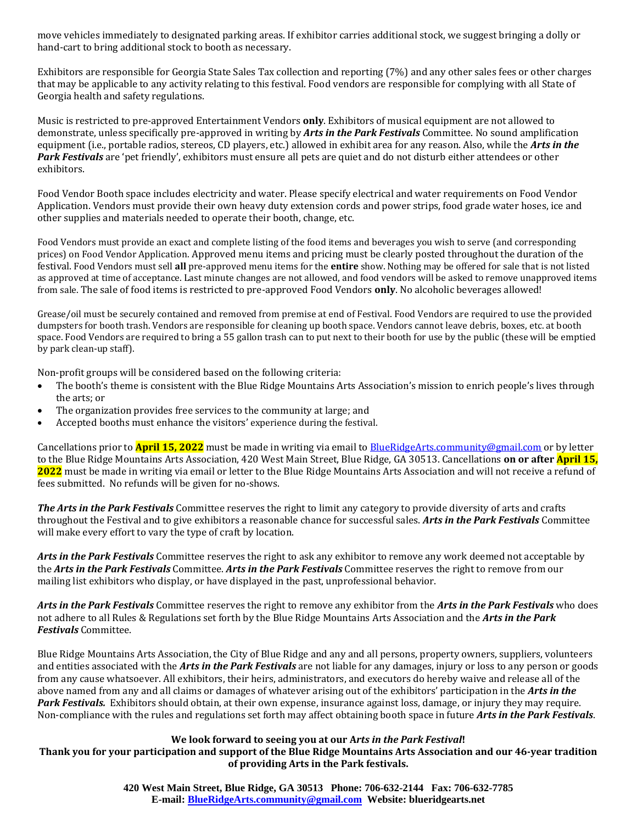move vehicles immediately to designated parking areas. If exhibitor carries additional stock, we suggest bringing a dolly or hand-cart to bring additional stock to booth as necessary.

Exhibitors are responsible for Georgia State Sales Tax collection and reporting (7%) and any other sales fees or other charges that may be applicable to any activity relating to this festival. Food vendors are responsible for complying with all State of Georgia health and safety regulations.

Music is restricted to pre-approved Entertainment Vendors **only**. Exhibitors of musical equipment are not allowed to demonstrate, unless specifically pre-approved in writing by *Arts in the Park Festivals* Committee. No sound amplification equipment (i.e., portable radios, stereos, CD players, etc.) allowed in exhibit area for any reason. Also, while the *Arts in the Park Festivals* are 'pet friendly', exhibitors must ensure all pets are quiet and do not disturb either attendees or other exhibitors.

Food Vendor Booth space includes electricity and water. Please specify electrical and water requirements on Food Vendor Application. Vendors must provide their own heavy duty extension cords and power strips, food grade water hoses, ice and other supplies and materials needed to operate their booth, change, etc.

Food Vendors must provide an exact and complete listing of the food items and beverages you wish to serve (and corresponding prices) on Food Vendor Application. Approved menu items and pricing must be clearly posted throughout the duration of the festival. Food Vendors must sell **all** pre-approved menu items for the **entire** show. Nothing may be offered for sale that is not listed as approved at time of acceptance. Last minute changes are not allowed, and food vendors will be asked to remove unapproved items from sale. The sale of food items is restricted to pre-approved Food Vendors **only**. No alcoholic beverages allowed!

Grease/oil must be securely contained and removed from premise at end of Festival. Food Vendors are required to use the provided dumpsters for booth trash. Vendors are responsible for cleaning up booth space. Vendors cannot leave debris, boxes, etc. at booth space. Food Vendors are required to bring a 55 gallon trash can to put next to their booth for use by the public (these will be emptied by park clean-up staff).

Non-profit groups will be considered based on the following criteria:

- The booth's theme is consistent with the Blue Ridge Mountains Arts Association's mission to enrich people's lives through the arts; or
- The organization provides free services to the community at large; and
- Accepted booths must enhance the visitors' experience during the festival.

Cancellations prior to **April 15, 2022** must be made in writing via email to [BlueRidgeArts.community@gmail.com](mailto:BlueRidgeArts.community@gmail.com) or by letter to the Blue Ridge Mountains Arts Association, 420 West Main Street, Blue Ridge, GA 30513. Cancellations **on or after April 15, 2022** must be made in writing via email or letter to the Blue Ridge Mountains Arts Association and will not receive a refund of fees submitted. No refunds will be given for no-shows.

*The Arts in the Park Festivals* Committee reserves the right to limit any category to provide diversity of arts and crafts throughout the Festival and to give exhibitors a reasonable chance for successful sales. *Arts in the Park Festivals* Committee will make every effort to vary the type of craft by location.

*Arts in the Park Festivals* Committee reserves the right to ask any exhibitor to remove any work deemed not acceptable by the *Arts in the Park Festivals* Committee. *Arts in the Park Festivals* Committee reserves the right to remove from our mailing list exhibitors who display, or have displayed in the past, unprofessional behavior.

*Arts in the Park Festivals* Committee reserves the right to remove any exhibitor from the *Arts in the Park Festivals* who does not adhere to all Rules & Regulations set forth by the Blue Ridge Mountains Arts Association and the *Arts in the Park Festivals* Committee.

Blue Ridge Mountains Arts Association, the City of Blue Ridge and any and all persons, property owners, suppliers, volunteers and entities associated with the *Arts in the Park Festivals* are not liable for any damages, injury or loss to any person or goods from any cause whatsoever. All exhibitors, their heirs, administrators, and executors do hereby waive and release all of the above named from any and all claims or damages of whatever arising out of the exhibitors' participation in the *Arts in the Park Festivals.* Exhibitors should obtain, at their own expense, insurance against loss, damage, or injury they may require. Non-compliance with the rules and regulations set forth may affect obtaining booth space in future *Arts in the Park Festivals*.

#### **We look forward to seeing you at our A***rts in the Park Festival***!**

**Thank you for your participation and support of the Blue Ridge Mountains Arts Association and our 46-year tradition of providing Arts in the Park festivals.**

> **420 West Main Street, Blue Ridge, GA 30513 Phone: 706-632-2144 Fax: 706-632-7785 E-mail: [BlueRidgeArts.community@gmail.com](mailto:BlueRidgeArts.community@gmail.com) Website: blueridgearts.net**